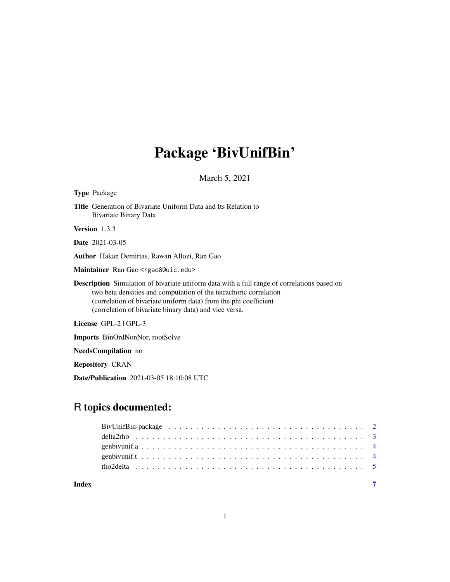## Package 'BivUnifBin'

March 5, 2021

| Type Package                                                                                                                                                                                                                                                                                          |
|-------------------------------------------------------------------------------------------------------------------------------------------------------------------------------------------------------------------------------------------------------------------------------------------------------|
| <b>Title</b> Generation of Bivariate Uniform Data and Its Relation to<br>Bivariate Binary Data                                                                                                                                                                                                        |
| <b>Version</b> 1.3.3                                                                                                                                                                                                                                                                                  |
| <b>Date</b> 2021-03-05                                                                                                                                                                                                                                                                                |
| <b>Author</b> Hakan Demirtas, Rawan Allozi, Ran Gao                                                                                                                                                                                                                                                   |
| M <b>aintainer</b> Ran Gao <rgao8@uic.edu></rgao8@uic.edu>                                                                                                                                                                                                                                            |
| <b>Description</b> Simulation of bivariate uniform data with a full range of correlations based on<br>two beta densities and computation of the tetrachoric correlation<br>(correlation of bivariate uniform data) from the phi coefficient<br>(correlation of bivariate binary data) and vice versa. |
| License GPL-2   GPL-3                                                                                                                                                                                                                                                                                 |
| <b>Imports</b> BinOrdNonNor, rootSolve                                                                                                                                                                                                                                                                |
| <b>NeedsCompilation</b> no                                                                                                                                                                                                                                                                            |
| <b>Repository CRAN</b>                                                                                                                                                                                                                                                                                |

Date/Publication 2021-03-05 18:10:08 UTC

### R topics documented:

| Index |  |
|-------|--|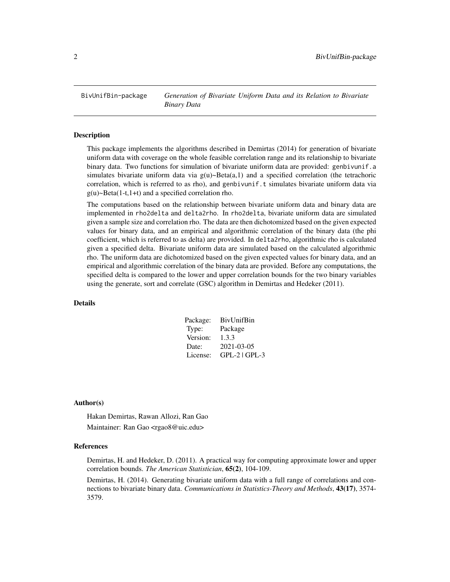<span id="page-1-0"></span>BivUnifBin-package *Generation of Bivariate Uniform Data and its Relation to Bivariate Binary Data*

#### Description

This package implements the algorithms described in Demirtas (2014) for generation of bivariate uniform data with coverage on the whole feasible correlation range and its relationship to bivariate binary data. Two functions for simulation of bivariate uniform data are provided: genbivunif.a simulates bivariate uniform data via  $g(u) \sim Beta(a, 1)$  and a specified correlation (the tetrachoric correlation, which is referred to as rho), and genbivunif.t simulates bivariate uniform data via g(u)~Beta(1-t,1+t) and a specified correlation rho.

The computations based on the relationship between bivariate uniform data and binary data are implemented in rho2delta and delta2rho. In rho2delta, bivariate uniform data are simulated given a sample size and correlation rho. The data are then dichotomized based on the given expected values for binary data, and an empirical and algorithmic correlation of the binary data (the phi coefficient, which is referred to as delta) are provided. In delta2rho, algorithmic rho is calculated given a specified delta. Bivariate uniform data are simulated based on the calculated algorithmic rho. The uniform data are dichotomized based on the given expected values for binary data, and an empirical and algorithmic correlation of the binary data are provided. Before any computations, the specified delta is compared to the lower and upper correlation bounds for the two binary variables using the generate, sort and correlate (GSC) algorithm in Demirtas and Hedeker (2011).

#### Details

| Package: | <b>BivUnifBin</b> |
|----------|-------------------|
| Type:    | Package           |
| Version: | 1.3.3             |
| Date:    | 2021-03-05        |
| License: | $GPL-2$ $GPL-3$   |

#### Author(s)

Hakan Demirtas, Rawan Allozi, Ran Gao Maintainer: Ran Gao <rgao8@uic.edu>

#### References

Demirtas, H. and Hedeker, D. (2011). A practical way for computing approximate lower and upper correlation bounds. *The American Statistician*, 65(2), 104-109.

Demirtas, H. (2014). Generating bivariate uniform data with a full range of correlations and connections to bivariate binary data. *Communications in Statistics-Theory and Methods*, 43(17), 3574- 3579.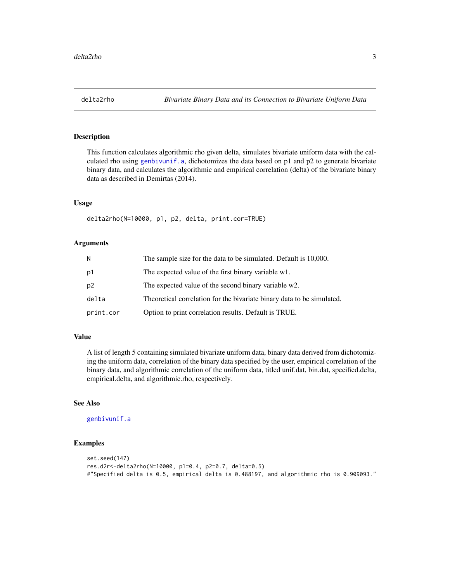#### <span id="page-2-0"></span>Description

This function calculates algorithmic rho given delta, simulates bivariate uniform data with the calculated rho using [genbivunif.a](#page-3-1), dichotomizes the data based on p1 and p2 to generate bivariate binary data, and calculates the algorithmic and empirical correlation (delta) of the bivariate binary data as described in Demirtas (2014).

#### Usage

delta2rho(N=10000, p1, p2, delta, print.cor=TRUE)

#### Arguments

| И         | The sample size for the data to be simulated. Default is 10,000.       |
|-----------|------------------------------------------------------------------------|
| p1        | The expected value of the first binary variable w1.                    |
| p2        | The expected value of the second binary variable w2.                   |
| delta     | Theoretical correlation for the bivariate binary data to be simulated. |
| print.cor | Option to print correlation results. Default is TRUE.                  |

#### Value

A list of length 5 containing simulated bivariate uniform data, binary data derived from dichotomizing the uniform data, correlation of the binary data specified by the user, empirical correlation of the binary data, and algorithmic correlation of the uniform data, titled unif.dat, bin.dat, specified.delta, empirical.delta, and algorithmic.rho, respectively.

#### See Also

[genbivunif.a](#page-3-1)

#### Examples

```
set.seed(147)
res.d2r<-delta2rho(N=10000, p1=0.4, p2=0.7, delta=0.5)
#"Specified delta is 0.5, empirical delta is 0.488197, and algorithmic rho is 0.909093."
```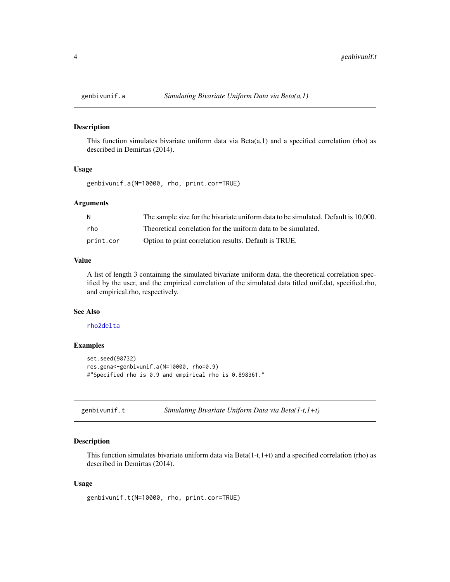<span id="page-3-1"></span><span id="page-3-0"></span>

#### Description

This function simulates bivariate uniform data via  $Beta(a,1)$  and a specified correlation (rho) as described in Demirtas (2014).

#### Usage

genbivunif.a(N=10000, rho, print.cor=TRUE)

#### Arguments

| N         | The sample size for the bivariate uniform data to be simulated. Default is 10,000. |
|-----------|------------------------------------------------------------------------------------|
| rho.      | Theoretical correlation for the uniform data to be simulated.                      |
| print.cor | Option to print correlation results. Default is TRUE.                              |

#### Value

A list of length 3 containing the simulated bivariate uniform data, the theoretical correlation specified by the user, and the empirical correlation of the simulated data titled unif.dat, specified.rho, and empirical.rho, respectively.

#### See Also

#### [rho2delta](#page-4-1)

#### Examples

```
set.seed(98732)
res.gena<-genbivunif.a(N=10000, rho=0.9)
#"Specified rho is 0.9 and empirical rho is 0.898361."
```

| Simulating Bivariate Uniform Data via Beta $(1-t, 1+t)$<br>genbivunif.t |  |
|-------------------------------------------------------------------------|--|
|-------------------------------------------------------------------------|--|

#### Description

This function simulates bivariate uniform data via Beta $(1-t,1+t)$  and a specified correlation (rho) as described in Demirtas (2014).

#### Usage

```
genbivunif.t(N=10000, rho, print.cor=TRUE)
```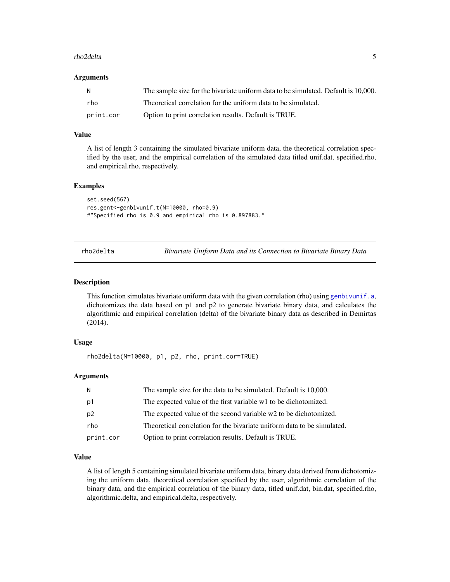#### <span id="page-4-0"></span>rho2delta 5

#### **Arguments**

| - N       | The sample size for the bivariate uniform data to be simulated. Default is 10,000. |
|-----------|------------------------------------------------------------------------------------|
| rho       | Theoretical correlation for the uniform data to be simulated.                      |
| print.cor | Option to print correlation results. Default is TRUE.                              |

#### Value

A list of length 3 containing the simulated bivariate uniform data, the theoretical correlation specified by the user, and the empirical correlation of the simulated data titled unif.dat, specified.rho, and empirical.rho, respectively.

#### Examples

```
set.seed(567)
res.gent<-genbivunif.t(N=10000, rho=0.9)
#"Specified rho is 0.9 and empirical rho is 0.897883."
```
<span id="page-4-1"></span>rho2delta *Bivariate Uniform Data and its Connection to Bivariate Binary Data*

#### Description

This function simulates bivariate uniform data with the given correlation (rho) using [genbivunif.a](#page-3-1), dichotomizes the data based on p1 and p2 to generate bivariate binary data, and calculates the algorithmic and empirical correlation (delta) of the bivariate binary data as described in Demirtas (2014).

#### Usage

rho2delta(N=10000, p1, p2, rho, print.cor=TRUE)

#### Arguments

| N              | The sample size for the data to be simulated. Default is 10,000.        |
|----------------|-------------------------------------------------------------------------|
| p1             | The expected value of the first variable w1 to be dichotomized.         |
| p <sub>2</sub> | The expected value of the second variable w2 to be dichotomized.        |
| rho            | Theoretical correlation for the bivariate uniform data to be simulated. |
| print.cor      | Option to print correlation results. Default is TRUE.                   |

#### Value

A list of length 5 containing simulated bivariate uniform data, binary data derived from dichotomizing the uniform data, theoretical correlation specified by the user, algorithmic correlation of the binary data, and the empirical correlation of the binary data, titled unif.dat, bin.dat, specified.rho, algorithmic.delta, and empirical.delta, respectively.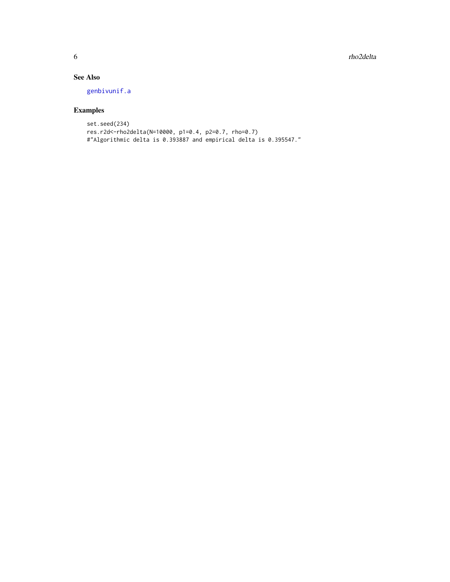<span id="page-5-0"></span>6 rho2delta

#### See Also

[genbivunif.a](#page-3-1)

### Examples

```
set.seed(234)
res.r2d<-rho2delta(N=10000, p1=0.4, p2=0.7, rho=0.7)
#"Algorithmic delta is 0.393887 and empirical delta is 0.395547."
```